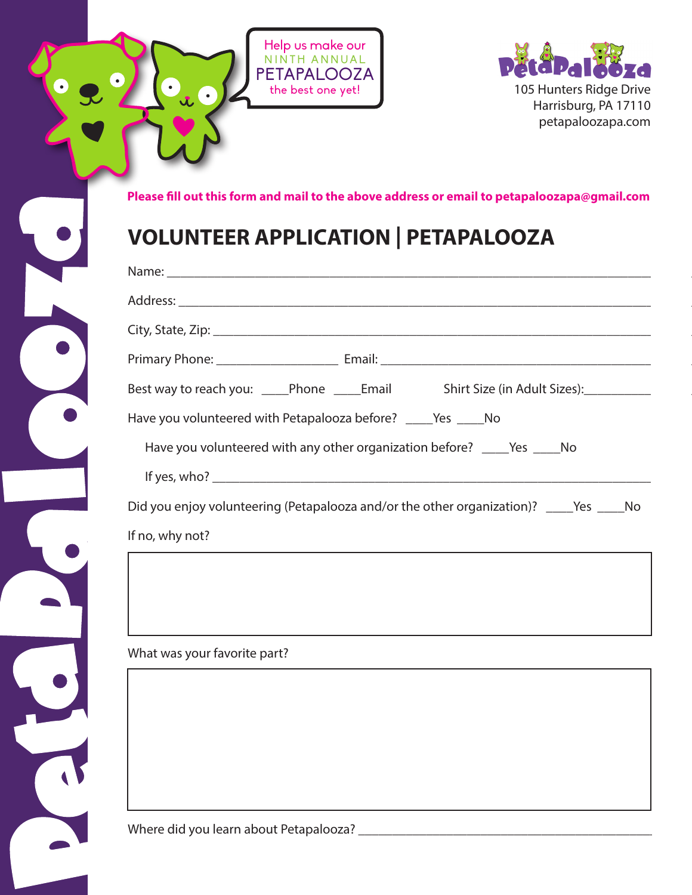

 $\bullet$ 



**Please fill out this form and mail to the above address or email to petapaloozapa@gmail.com**

## **VOLUNTEER APPLICATION | PETAPALOOZA**

| Best way to reach you: _____Phone ______Email Shirt Size (in Adult Sizes): __________        |
|----------------------------------------------------------------------------------------------|
| Have you volunteered with Petapalooza before? ______ Yes ______ No                           |
|                                                                                              |
|                                                                                              |
| Did you enjoy volunteering (Petapalooza and/or the other organization)? _______Yes _______No |
| If no, why not?                                                                              |
|                                                                                              |

What was your favorite part?

Where did you learn about Petapalooza? \_\_\_\_\_\_\_\_\_\_\_\_\_\_\_\_\_\_\_\_\_\_\_\_\_\_\_\_\_\_\_\_\_\_\_\_\_\_\_\_\_\_\_\_